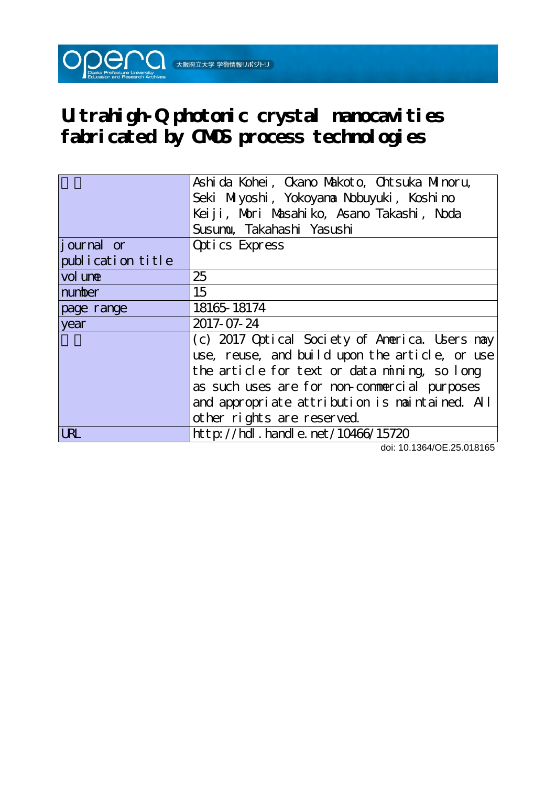

|                   | Ashi da Kohei, Ckano Makoto, Chtsuka Minoru,   |
|-------------------|------------------------------------------------|
|                   | Seki Miyoshi, Yokoyana Nobuyuki, Koshino       |
|                   | Keiji, Mori Masahiko, Asano Takashi, Noda      |
|                   | Susumu, Takahashi Yasushi                      |
| journal or        | Optics Express                                 |
| publication title |                                                |
| vol une           | 25                                             |
| number            | 15                                             |
| page range        | 18165-18174                                    |
| year              | 2017-07-24                                     |
|                   | (c) 2017 Optical Society of America. Users may |
|                   | use, reuse, and build upon the article, or use |
|                   | the article for text or data mining, so long   |
|                   | as such uses are for non-commercial purposes   |
|                   | and appropriate attribution is maintained. All |
|                   | other rights are reserved.                     |
| URL               | http://hdl.handle.net/10466/15720              |

doi: 10.1364/OE.25.018165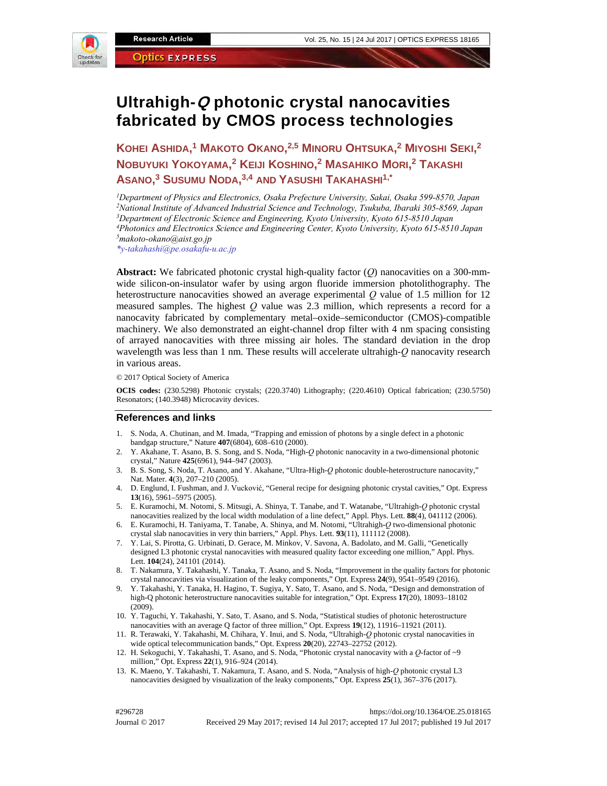

# **Ultrahigh-Q photonic crystal nanocavities fabricated by CMOS process technologies**

**KOHEI ASHIDA, 1 MAKOTO OKANO, 2,5 MINORU OHTSUKA, 2 MIYOSHI SEKI, 2 NOBUYUKI YOKOYAMA, 2 KEIJI KOSHINO, 2 MASAHIKO MORI, 2 TAKASHI ASANO, 3 SUSUMU NODA, 3,4 AND YASUSHI TAKAHASHI1,\***

*1Department of Physics and Electronics, Osaka Prefecture University, Sakai, Osaka 599-8570, Japan 2National Institute of Advanced Industrial Science and Technology, Tsukuba, Ibaraki 305-8569, Japan 3Department of Electronic Science and Engineering, Kyoto University, Kyoto 615-8510 Japan 4Photonics and Electronics Science and Engineering Center, Kyoto University, Kyoto 615-8510 Japan 5makoto-okano@aist.go.jp* 

*\*y-takahashi@pe.osakafu-u.ac.jp*

**Abstract:** We fabricated photonic crystal high-quality factor (*Q*) nanocavities on a 300-mmwide silicon-on-insulator wafer by using argon fluoride immersion photolithography. The heterostructure nanocavities showed an average experimental *Q* value of 1.5 million for 12 measured samples. The highest *Q* value was 2.3 million, which represents a record for a nanocavity fabricated by complementary metal–oxide–semiconductor (CMOS)-compatible machinery. We also demonstrated an eight-channel drop filter with 4 nm spacing consisting of arrayed nanocavities with three missing air holes. The standard deviation in the drop wavelength was less than 1 nm. These results will accelerate ultrahigh-*Q* nanocavity research in various areas. We are to lead and the state of **CIVICS CALC CONSTRANT CONSTRANT CONSTRANT CONSTRANT CONSTRANT CONSTRANT CONSTRANT CONSTRANT CONSTRANT CONSTRANT CONSTRANT CONSTRANT CONSTRANT CONSTRANT CONSTRANT CONSTRANT CONSTRANT CON** 

© 2017 Optical Society of America

**OCIS codes:** (230.5298) Photonic crystals; (220.3740) Lithography; (220.4610) Optical fabrication; (230.5750) Resonators; (140.3948) Microcavity devices.

#### **References and links**

- 1. S. Noda, A. Chutinan, and M. Imada, "Trapping and emission of photons by a single defect in a photonic bandgap structure," Nature **407**(6804), 608–610 (2000).
- 2. Y. Akahane, T. Asano, B. S. Song, and S. Noda, "High-*Q* photonic nanocavity in a two-dimensional photonic crystal," Nature **425**(6961), 944–947 (2003).
- 3. B. S. Song, S. Noda, T. Asano, and Y. Akahane, "Ultra-High-*Q* photonic double-heterostructure nanocavity," Nat. Mater. **4**(3), 207–210 (2005).
- 4. D. Englund, I. Fushman, and J. Vucković, "General recipe for designing photonic crystal cavities," Opt. Express **13**(16), 5961–5975 (2005).
- 5. E. Kuramochi, M. Notomi, S. Mitsugi, A. Shinya, T. Tanabe, and T. Watanabe, "Ultrahigh-*Q* photonic crystal nanocavities realized by the local width modulation of a line defect," Appl. Phys. Lett. **88**(4), 041112 (2006).
- 6. E. Kuramochi, H. Taniyama, T. Tanabe, A. Shinya, and M. Notomi, "Ultrahigh-*Q* two-dimensional photonic crystal slab nanocavities in very thin barriers," Appl. Phys. Lett. **93**(11), 111112 (2008).
- 7. Y. Lai, S. Pirotta, G. Urbinati, D. Gerace, M. Minkov, V. Savona, A. Badolato, and M. Galli, "Genetically designed L3 photonic crystal nanocavities with measured quality factor exceeding one million," Appl. Phys. Lett. **104**(24), 241101 (2014).
- 8. T. Nakamura, Y. Takahashi, Y. Tanaka, T. Asano, and S. Noda, "Improvement in the quality factors for photonic crystal nanocavities via visualization of the leaky components," Opt. Express **24**(9), 9541–9549 (2016).
- 9. Y. Takahashi, Y. Tanaka, H. Hagino, T. Sugiya, Y. Sato, T. Asano, and S. Noda, "Design and demonstration of high-Q photonic heterostructure nanocavities suitable for integration," Opt. Express **17**(20), 18093–18102 (2009).
- 10. Y. Taguchi, Y. Takahashi, Y. Sato, T. Asano, and S. Noda, "Statistical studies of photonic heterostructure nanocavities with an average Q factor of three million," Opt. Express **19**(12), 11916–11921 (2011).
- 11. R. Terawaki, Y. Takahashi, M. Chihara, Y. Inui, and S. Noda, "Ultrahigh-*Q* photonic crystal nanocavities in wide optical telecommunication bands," Opt. Express **20**(20), 22743–22752 (2012).
- 12. H. Sekoguchi, Y. Takahashi, T. Asano, and S. Noda, "Photonic crystal nanocavity with a *Q*-factor of ~9 million," Opt. Express **22**(1), 916–924 (2014).
- 13. K. Maeno, Y. Takahashi, T. Nakamura, T. Asano, and S. Noda, "Analysis of high-*Q* photonic crystal L3 nanocavities designed by visualization of the leaky components," Opt. Express **25**(1), 367–376 (2017).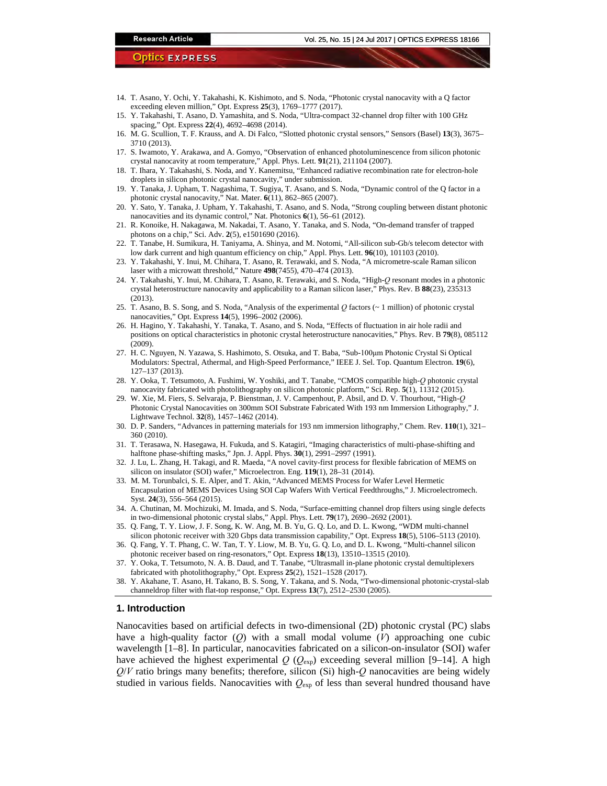- 14. T. Asano, Y. Ochi, Y. Takahashi, K. Kishimoto, and S. Noda, "Photonic crystal nanocavity with a Q factor exceeding eleven million," Opt. Express **25**(3), 1769–1777 (2017).
- 15. Y. Takahashi, T. Asano, D. Yamashita, and S. Noda, "Ultra-compact 32-channel drop filter with 100 GHz spacing," Opt. Express **22**(4), 4692–4698 (2014).
- 16. M. G. Scullion, T. F. Krauss, and A. Di Falco, "Slotted photonic crystal sensors," Sensors (Basel) **13**(3), 3675– 3710 (2013).
- 17. S. Iwamoto, Y. Arakawa, and A. Gomyo, "Observation of enhanced photoluminescence from silicon photonic crystal nanocavity at room temperature," Appl. Phys. Lett. **91**(21), 211104 (2007).
- 18. T. Ihara, Y. Takahashi, S. Noda, and Y. Kanemitsu, "Enhanced radiative recombination rate for electron-hole droplets in silicon photonic crystal nanocavity," under submission.
- 19. Y. Tanaka, J. Upham, T. Nagashima, T. Sugiya, T. Asano, and S. Noda, "Dynamic control of the Q factor in a photonic crystal nanocavity," Nat. Mater. **6**(11), 862–865 (2007).
- 20. Y. Sato, Y. Tanaka, J. Upham, Y. Takahashi, T. Asano, and S. Noda, "Strong coupling between distant photonic nanocavities and its dynamic control," Nat. Photonics **6**(1), 56–61 (2012).
- 21. R. Konoike, H. Nakagawa, M. Nakadai, T. Asano, Y. Tanaka, and S. Noda, "On-demand transfer of trapped photons on a chip," Sci. Adv. **2**(5), e1501690 (2016).
- 22. T. Tanabe, H. Sumikura, H. Taniyama, A. Shinya, and M. Notomi, "All-silicon sub-Gb/s telecom detector with low dark current and high quantum efficiency on chip," Appl. Phys. Lett. **96**(10), 101103 (2010).
- 23. Y. Takahashi, Y. Inui, M. Chihara, T. Asano, R. Terawaki, and S. Noda, "A micrometre-scale Raman silicon laser with a microwatt threshold," Nature **498**(7455), 470–474 (2013).
- 24. Y. Takahashi, Y. Inui, M. Chihara, T. Asano, R. Terawaki, and S. Noda, "High-*Q* resonant modes in a photonic crystal heterostructure nanocavity and applicability to a Raman silicon laser," Phys. Rev. B **88**(23), 235313 (2013).
- 25. T. Asano, B. S. Song, and S. Noda, "Analysis of the experimental *Q* factors (~ 1 million) of photonic crystal nanocavities," Opt. Express **14**(5), 1996–2002 (2006).
- 26. H. Hagino, Y. Takahashi, Y. Tanaka, T. Asano, and S. Noda, "Effects of fluctuation in air hole radii and positions on optical characteristics in photonic crystal heterostructure nanocavities," Phys. Rev. B **79**(8), 085112 (2009).
- 27. H. C. Nguyen, N. Yazawa, S. Hashimoto, S. Otsuka, and T. Baba, "Sub-100μm Photonic Crystal Si Optical Modulators: Spectral, Athermal, and High-Speed Performance," IEEE J. Sel. Top. Quantum Electron. **19**(6), 127–137 (2013).
- 28. Y. Ooka, T. Tetsumoto, A. Fushimi, W. Yoshiki, and T. Tanabe, "CMOS compatible high-*Q* photonic crystal nanocavity fabricated with photolithography on silicon photonic platform," Sci. Rep. **5**(1), 11312 (2015).
- 29. W. Xie, M. Fiers, S. Selvaraja, P. Bienstman, J. V. Campenhout, P. Absil, and D. V. Thourhout, "High-*Q* Photonic Crystal Nanocavities on 300mm SOI Substrate Fabricated With 193 nm Immersion Lithography," J. Lightwave Technol. **32**(8), 1457–1462 (2014).
- 30. D. P. Sanders, "Advances in patterning materials for 193 nm immersion lithography," Chem. Rev. **110**(1), 321– 360 (2010).
- 31. T. Terasawa, N. Hasegawa, H. Fukuda, and S. Katagiri, "Imaging characteristics of multi-phase-shifting and halftone phase-shifting masks," Jpn. J. Appl. Phys. **30**(1), 2991–2997 (1991).
- 32. J. Lu, L. Zhang, H. Takagi, and R. Maeda, "A novel cavity-first process for flexible fabrication of MEMS on silicon on insulator (SOI) wafer," Microelectron. Eng. **119**(1), 28–31 (2014).
- 33. M. M. Torunbalci, S. E. Alper, and T. Akin, "Advanced MEMS Process for Wafer Level Hermetic Encapsulation of MEMS Devices Using SOI Cap Wafers With Vertical Feedthroughs," J. Microelectromech. Syst. **24**(3), 556–564 (2015).
- 34. A. Chutinan, M. Mochizuki, M. Imada, and S. Noda, "Surface-emitting channel drop filters using single defects in two-dimensional photonic crystal slabs," Appl. Phys. Lett. **79**(17), 2690–2692 (2001).
- 35. Q. Fang, T. Y. Liow, J. F. Song, K. W. Ang, M. B. Yu, G. Q. Lo, and D. L. Kwong, "WDM multi-channel silicon photonic receiver with 320 Gbps data transmission capability," Opt. Express **18**(5), 5106–5113 (2010).
- 36. Q. Fang, Y. T. Phang, C. W. Tan, T. Y. Liow, M. B. Yu, G. Q. Lo, and D. L. Kwong, "Multi-channel silicon photonic receiver based on ring-resonators," Opt. Express **18**(13), 13510–13515 (2010).
- 37. Y. Ooka, T. Tetsumoto, N. A. B. Daud, and T. Tanabe, "Ultrasmall in-plane photonic crystal demultiplexers fabricated with photolithography," Opt. Express **25**(2), 1521–1528 (2017).
- 38. Y. Akahane, T. Asano, H. Takano, B. S. Song, Y. Takana, and S. Noda, "Two-dimensional photonic-crystal-slab channeldrop filter with flat-top response," Opt. Express **13**(7), 2512–2530 (2005).

# **1. Introduction**

Nanocavities based on artificial defects in two-dimensional (2D) photonic crystal (PC) slabs have a high-quality factor (*Q*) with a small modal volume (*V*) approaching one cubic wavelength [1–8]. In particular, nanocavities fabricated on a silicon-on-insulator (SOI) wafer have achieved the highest experimental  $Q$  ( $Q_{exp}$ ) exceeding several million [9–14]. A high *Q*/*V* ratio brings many benefits; therefore, silicon (Si) high-*Q* nanocavities are being widely studied in various fields. Nanocavities with  $Q_{exp}$  of less than several hundred thousand have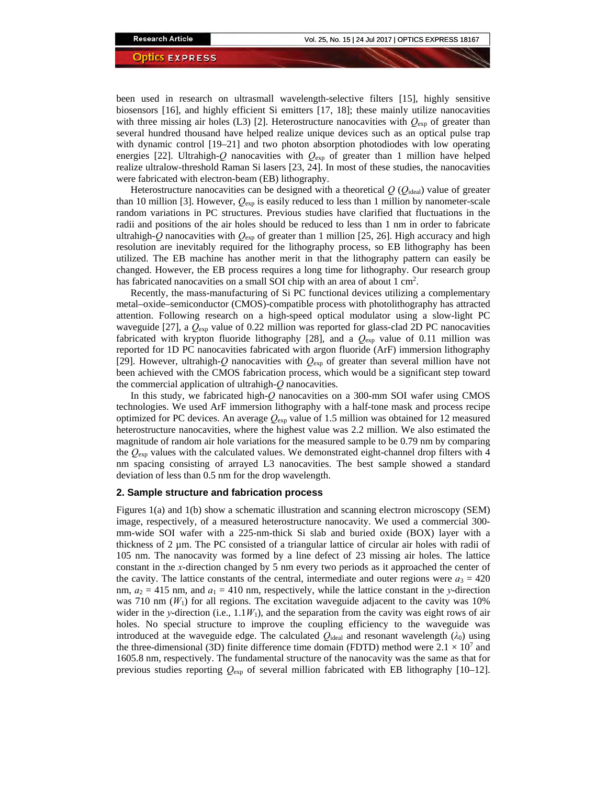been used in research on ultrasmall wavelength-selective filters [15], highly sensitive biosensors [16], and highly efficient Si emitters [17, 18]; these mainly utilize nanocavities with three missing air holes  $(L3)$  [2]. Heterostructure nanocavities with  $Q_{exp}$  of greater than several hundred thousand have helped realize unique devices such as an optical pulse trap with dynamic control [19–21] and two photon absorption photodiodes with low operating energies [22]. Ultrahigh-*Q* nanocavities with  $Q_{exp}$  of greater than 1 million have helped realize ultralow-threshold Raman Si lasers [23, 24]. In most of these studies, the nanocavities were fabricated with electron-beam (EB) lithography.

Heterostructure nanocavities can be designed with a theoretical  $Q(Q<sub>ideal</sub>)$  value of greater than 10 million [3]. However,  $Q_{\text{exp}}$  is easily reduced to less than 1 million by nanometer-scale random variations in PC structures. Previous studies have clarified that fluctuations in the radii and positions of the air holes should be reduced to less than 1 nm in order to fabricate ultrahigh-*Q* nanocavities with  $Q_{exp}$  of greater than 1 million [25, 26]. High accuracy and high resolution are inevitably required for the lithography process, so EB lithography has been utilized. The EB machine has another merit in that the lithography pattern can easily be changed. However, the EB process requires a long time for lithography. Our research group has fabricated nanocavities on a small SOI chip with an area of about 1 cm<sup>2</sup>.

Recently, the mass-manufacturing of Si PC functional devices utilizing a complementary metal–oxide–semiconductor (CMOS)-compatible process with photolithography has attracted attention. Following research on a high-speed optical modulator using a slow-light PC waveguide [27], a *Q*exp value of 0.22 million was reported for glass-clad 2D PC nanocavities fabricated with krypton fluoride lithography [28], and a  $Q_{exp}$  value of 0.11 million was reported for 1D PC nanocavities fabricated with argon fluoride (ArF) immersion lithography [29]. However, ultrahigh-*Q* nanocavities with *Q*exp of greater than several million have not been achieved with the CMOS fabrication process, which would be a significant step toward the commercial application of ultrahigh-*Q* nanocavities.

In this study, we fabricated high-*Q* nanocavities on a 300-mm SOI wafer using CMOS technologies. We used ArF immersion lithography with a half-tone mask and process recipe optimized for PC devices. An average *Q*exp value of 1.5 million was obtained for 12 measured heterostructure nanocavities, where the highest value was 2.2 million. We also estimated the magnitude of random air hole variations for the measured sample to be 0.79 nm by comparing the *Q*exp values with the calculated values. We demonstrated eight-channel drop filters with 4 nm spacing consisting of arrayed L3 nanocavities. The best sample showed a standard deviation of less than 0.5 nm for the drop wavelength.

# **2. Sample structure and fabrication process**

Figures 1(a) and 1(b) show a schematic illustration and scanning electron microscopy (SEM) image, respectively, of a measured heterostructure nanocavity. We used a commercial 300 mm-wide SOI wafer with a 225-nm-thick Si slab and buried oxide (BOX) layer with a thickness of 2  $\mu$ m. The PC consisted of a triangular lattice of circular air holes with radii of 105 nm. The nanocavity was formed by a line defect of 23 missing air holes. The lattice constant in the *x*-direction changed by 5 nm every two periods as it approached the center of the cavity. The lattice constants of the central, intermediate and outer regions were  $a_3 = 420$ nm,  $a_2 = 415$  nm, and  $a_1 = 410$  nm, respectively, while the lattice constant in the *y*-direction was 710 nm  $(W_1)$  for all regions. The excitation waveguide adjacent to the cavity was 10% wider in the *y*-direction (i.e.,  $1.1W_1$ ), and the separation from the cavity was eight rows of air holes. No special structure to improve the coupling efficiency to the waveguide was introduced at the waveguide edge. The calculated  $Q_{\text{ideal}}$  and resonant wavelength ( $\lambda_0$ ) using the three-dimensional (3D) finite difference time domain (FDTD) method were  $2.1 \times 10^{7}$  and 1605.8 nm, respectively. The fundamental structure of the nanocavity was the same as that for previous studies reporting *Q*exp of several million fabricated with EB lithography [10–12].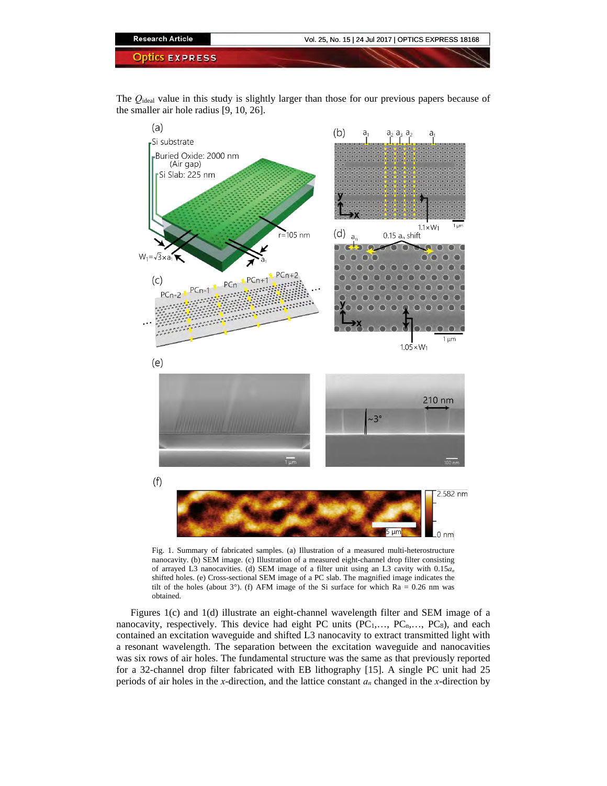

The *Q*ideal value in this study is slightly larger than those for our previous papers because of the smaller air hole radius [9, 10, 26].



Fig. 1. Summary of fabricated samples. (a) Illustration of a measured multi-heterostructure nanocavity. (b) SEM image. (c) Illustration of a measured eight-channel drop filter consisting of arrayed L3 nanocavities. (d) SEM image of a filter unit using an L3 cavity with 0.15*an* shifted holes. (e) Cross-sectional SEM image of a PC slab. The magnified image indicates the tilt of the holes (about 3°). (f) AFM image of the Si surface for which  $Ra = 0.26$  nm was obtained.

Figures 1(c) and 1(d) illustrate an eight-channel wavelength filter and SEM image of a nanocavity, respectively. This device had eight PC units  $(PC_1, ..., PC_n, ..., PC_8)$ , and each contained an excitation waveguide and shifted L3 nanocavity to extract transmitted light with a resonant wavelength. The separation between the excitation waveguide and nanocavities was six rows of air holes. The fundamental structure was the same as that previously reported for a 32-channel drop filter fabricated with EB lithography [15]. A single PC unit had 25 periods of air holes in the *x*-direction, and the lattice constant *an* changed in the *x*-direction by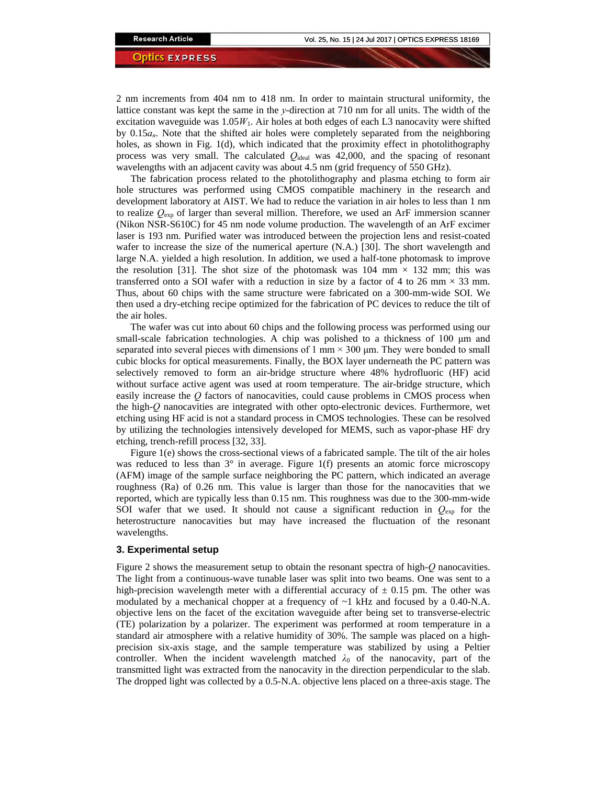2 nm increments from 404 nm to 418 nm. In order to maintain structural uniformity, the lattice constant was kept the same in the *y*-direction at 710 nm for all units. The width of the excitation waveguide was 1.05*W*1. Air holes at both edges of each L3 nanocavity were shifted by 0.15*an*. Note that the shifted air holes were completely separated from the neighboring holes, as shown in Fig. 1(d), which indicated that the proximity effect in photolithography process was very small. The calculated *Q*ideal was 42,000, and the spacing of resonant wavelengths with an adjacent cavity was about 4.5 nm (grid frequency of 550 GHz).

The fabrication process related to the photolithography and plasma etching to form air hole structures was performed using CMOS compatible machinery in the research and development laboratory at AIST. We had to reduce the variation in air holes to less than 1 nm to realize *Q*exp of larger than several million. Therefore, we used an ArF immersion scanner (Nikon NSR-S610C) for 45 nm node volume production. The wavelength of an ArF excimer laser is 193 nm. Purified water was introduced between the projection lens and resist-coated wafer to increase the size of the numerical aperture (N.A.) [30]. The short wavelength and large N.A. yielded a high resolution. In addition, we used a half-tone photomask to improve the resolution [31]. The shot size of the photomask was  $104 \text{ mm} \times 132 \text{ mm}$ ; this was transferred onto a SOI wafer with a reduction in size by a factor of 4 to 26 mm  $\times$  33 mm. Thus, about 60 chips with the same structure were fabricated on a 300-mm-wide SOI. We then used a dry-etching recipe optimized for the fabrication of PC devices to reduce the tilt of the air holes.

The wafer was cut into about 60 chips and the following process was performed using our small-scale fabrication technologies. A chip was polished to a thickness of 100 μm and separated into several pieces with dimensions of  $1 \text{ mm} \times 300 \text{ µm}$ . They were bonded to small cubic blocks for optical measurements. Finally, the BOX layer underneath the PC pattern was selectively removed to form an air-bridge structure where 48% hydrofluoric (HF) acid without surface active agent was used at room temperature. The air-bridge structure, which easily increase the *Q* factors of nanocavities, could cause problems in CMOS process when the high-*Q* nanocavities are integrated with other opto-electronic devices. Furthermore, wet etching using HF acid is not a standard process in CMOS technologies. These can be resolved by utilizing the technologies intensively developed for MEMS, such as vapor-phase HF dry etching, trench-refill process [32, 33].

Figure 1(e) shows the cross-sectional views of a fabricated sample. The tilt of the air holes was reduced to less than  $3^\circ$  in average. Figure 1(f) presents an atomic force microscopy (AFM) image of the sample surface neighboring the PC pattern, which indicated an average roughness (Ra) of 0.26 nm. This value is larger than those for the nanocavities that we reported, which are typically less than 0.15 nm. This roughness was due to the 300-mm-wide SOI wafer that we used. It should not cause a significant reduction in  $Q_{\text{exp}}$  for the heterostructure nanocavities but may have increased the fluctuation of the resonant wavelengths.

# **3. Experimental setup**

Figure 2 shows the measurement setup to obtain the resonant spectra of high-*Q* nanocavities. The light from a continuous-wave tunable laser was split into two beams. One was sent to a high-precision wavelength meter with a differential accuracy of  $\pm$  0.15 pm. The other was modulated by a mechanical chopper at a frequency of  $\sim$ 1 kHz and focused by a 0.40-N.A. objective lens on the facet of the excitation waveguide after being set to transverse-electric (TE) polarization by a polarizer. The experiment was performed at room temperature in a standard air atmosphere with a relative humidity of 30%. The sample was placed on a highprecision six-axis stage, and the sample temperature was stabilized by using a Peltier controller. When the incident wavelength matched  $\lambda_0$  of the nanocavity, part of the transmitted light was extracted from the nanocavity in the direction perpendicular to the slab. The dropped light was collected by a 0.5-N.A. objective lens placed on a three-axis stage. The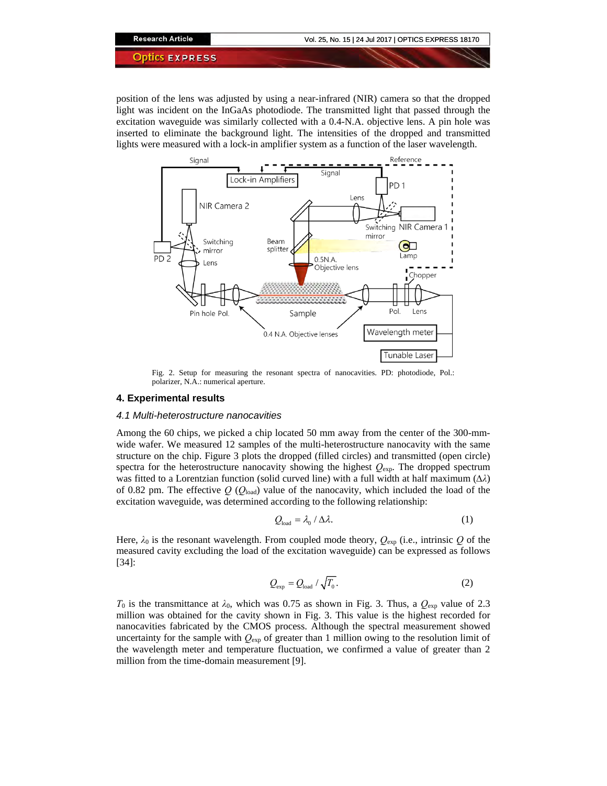position of the lens was adjusted by using a near-infrared (NIR) camera so that the dropped light was incident on the InGaAs photodiode. The transmitted light that passed through the excitation waveguide was similarly collected with a 0.4-N.A. objective lens. A pin hole was inserted to eliminate the background light. The intensities of the dropped and transmitted lights were measured with a lock-in amplifier system as a function of the laser wavelength.



Fig. 2. Setup for measuring the resonant spectra of nanocavities. PD: photodiode, Pol.: polarizer, N.A.: numerical aperture.

# **4. Experimental results**

#### *4.1 Multi-heterostructure nanocavities*

Among the 60 chips, we picked a chip located 50 mm away from the center of the 300-mmwide wafer. We measured 12 samples of the multi-heterostructure nanocavity with the same structure on the chip. Figure 3 plots the dropped (filled circles) and transmitted (open circle) spectra for the heterostructure nanocavity showing the highest  $Q_{exp}$ . The dropped spectrum was fitted to a Lorentzian function (solid curved line) with a full width at half maximum (*∆λ*) of 0.82 pm. The effective *Q* (*Q*load) value of the nanocavity, which included the load of the excitation waveguide, was determined according to the following relationship:

$$
Q_{\text{load}} = \lambda_0 / \Delta \lambda. \tag{1}
$$

Here,  $\lambda_0$  is the resonant wavelength. From coupled mode theory,  $Q_{\rm exp}$  (i.e., intrinsic Q of the measured cavity excluding the load of the excitation waveguide) can be expressed as follows [34]:

$$
Q_{\rm exp} = Q_{\rm load} / \sqrt{T_0}.
$$
 (2)

*T*<sub>0</sub> is the transmittance at  $\lambda_0$ , which was 0.75 as shown in Fig. 3. Thus, a  $Q_{\rm exp}$  value of 2.3 million was obtained for the cavity shown in Fig. 3. This value is the highest recorded for nanocavities fabricated by the CMOS process. Although the spectral measurement showed uncertainty for the sample with  $Q_{exp}$  of greater than 1 million owing to the resolution limit of the wavelength meter and temperature fluctuation, we confirmed a value of greater than 2 million from the time-domain measurement [9].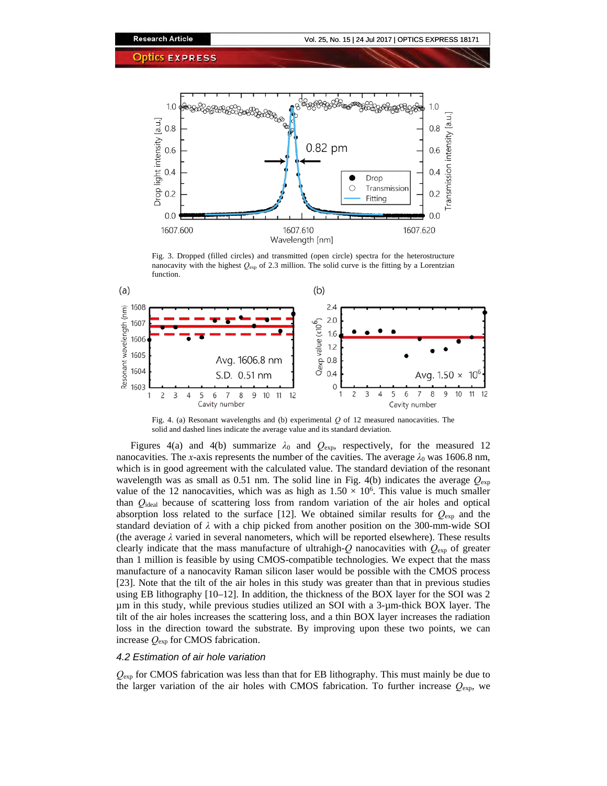

Fig. 3. Dropped (filled circles) and transmitted (open circle) spectra for the heterostructure nanocavity with the highest  $Q_{\text{exp}}$  of 2.3 million. The solid curve is the fitting by a Lorentzian function.



Fig. 4. (a) Resonant wavelengths and (b) experimental *Q* of 12 measured nanocavities. The solid and dashed lines indicate the average value and its standard deviation.

Figures 4(a) and 4(b) summarize  $\lambda_0$  and  $Q_{\text{exp}}$ , respectively, for the measured 12 nanocavities. The *x*-axis represents the number of the cavities. The average  $\lambda_0$  was 1606.8 nm, which is in good agreement with the calculated value. The standard deviation of the resonant wavelength was as small as 0.51 nm. The solid line in Fig. 4(b) indicates the average *Q*exp value of the 12 nanocavities, which was as high as  $1.50 \times 10^6$ . This value is much smaller than *Q*ideal because of scattering loss from random variation of the air holes and optical absorption loss related to the surface [12]. We obtained similar results for  $Q_{\text{exp}}$  and the standard deviation of *λ* with a chip picked from another position on the 300-mm-wide SOI (the average *λ* varied in several nanometers, which will be reported elsewhere). These results clearly indicate that the mass manufacture of ultrahigh-*Q* nanocavities with *Q*exp of greater than 1 million is feasible by using CMOS-compatible technologies. We expect that the mass manufacture of a nanocavity Raman silicon laser would be possible with the CMOS process [23]. Note that the tilt of the air holes in this study was greater than that in previous studies using EB lithography [10–12]. In addition, the thickness of the BOX layer for the SOI was 2 µm in this study, while previous studies utilized an SOI with a 3-µm-thick BOX layer. The tilt of the air holes increases the scattering loss, and a thin BOX layer increases the radiation loss in the direction toward the substrate. By improving upon these two points, we can increase *Q*exp for CMOS fabrication.

#### *4.2 Estimation of air hole variation*

*Q*exp for CMOS fabrication was less than that for EB lithography. This must mainly be due to the larger variation of the air holes with CMOS fabrication. To further increase *Q*exp, we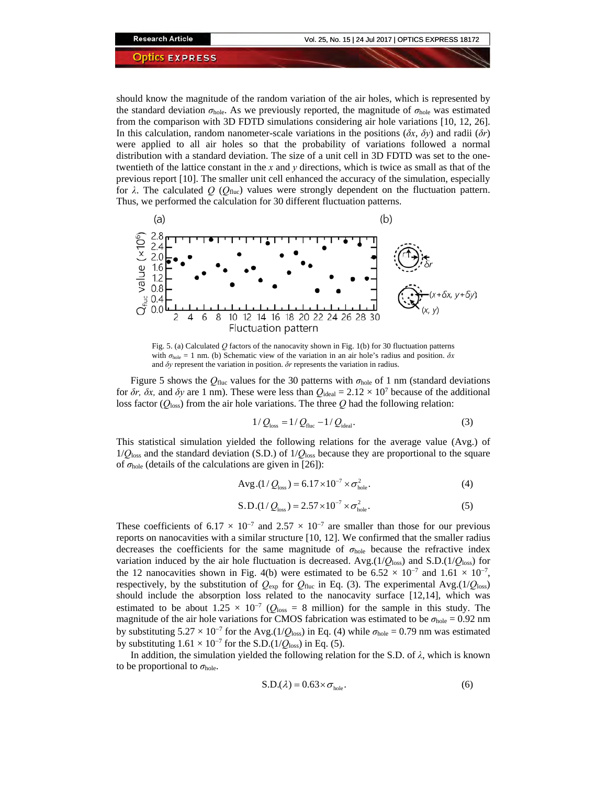should know the magnitude of the random variation of the air holes, which is represented by the standard deviation  $\sigma_{\text{hole}}$ . As we previously reported, the magnitude of  $\sigma_{\text{hole}}$  was estimated from the comparison with 3D FDTD simulations considering air hole variations [10, 12, 26]. In this calculation, random nanometer-scale variations in the positions  $(\delta x, \delta y)$  and radii  $(\delta r)$ were applied to all air holes so that the probability of variations followed a normal distribution with a standard deviation. The size of a unit cell in 3D FDTD was set to the onetwentieth of the lattice constant in the *x* and *y* directions, which is twice as small as that of the previous report [10]. The smaller unit cell enhanced the accuracy of the simulation, especially for  $\lambda$ . The calculated  $Q$  ( $Q_{\text{fluc}}$ ) values were strongly dependent on the fluctuation pattern. Thus, we performed the calculation for 30 different fluctuation patterns.



Fig. 5. (a) Calculated *Q* factors of the nanocavity shown in Fig. 1(b) for 30 fluctuation patterns with  $\sigma_{\text{hole}} = 1$  nm. (b) Schematic view of the variation in an air hole's radius and position.  $\delta x$ and *δy* represent the variation in position. *δr* represents the variation in radius.

Figure 5 shows the  $Q_{\text{fluc}}$  values for the 30 patterns with  $\sigma_{\text{hole}}$  of 1 nm (standard deviations for  $\delta r$ ,  $\delta x$ , and  $\delta y$  are 1 nm). These were less than  $Q_{\text{ideal}} = 2.12 \times 10^7$  because of the additional loss factor ( $Q_{\text{loss}}$ ) from the air hole variations. The three  $Q$  had the following relation:

$$
1/Q_{\text{loss}} = 1/Q_{\text{fluc}} - 1/Q_{\text{ideal}}.\tag{3}
$$

This statistical simulation yielded the following relations for the average value (Avg.) of  $1/Q<sub>loss</sub>$  and the standard deviation (S.D.) of  $1/Q<sub>loss</sub>$  because they are proportional to the square of  $\sigma_{hole}$  (details of the calculations are given in [26]):

Avg.(1/
$$
Q_{\text{loss}}
$$
) = 6.17×10<sup>-7</sup> ×  $\sigma_{\text{hole}}^2$ . (4)

$$
S.D.(1/Q_{\text{loss}}) = 2.57 \times 10^{-7} \times \sigma_{\text{hole}}^2.
$$
 (5)

These coefficients of 6.17 × 10<sup>-7</sup> and 2.57 × 10<sup>-7</sup> are smaller than those for our previous reports on nanocavities with a similar structure [10, 12]. We confirmed that the smaller radius decreases the coefficients for the same magnitude of *σ*hole because the refractive index variation induced by the air hole fluctuation is decreased. Avg. $(1/Q_{loss})$  and S.D. $(1/Q_{loss})$  for the 12 nanocavities shown in Fig. 4(b) were estimated to be  $6.52 \times 10^{-7}$  and  $1.61 \times 10^{-7}$ , respectively, by the substitution of  $Q_{\text{exp}}$  for  $Q_{\text{fluc}}$  in Eq. (3). The experimental Avg.(1/ $Q_{\text{loss}}$ ) should include the absorption loss related to the nanocavity surface [12,14], which was estimated to be about  $1.25 \times 10^{-7}$  ( $Q_{\text{loss}} = 8$  million) for the sample in this study. The magnitude of the air hole variations for CMOS fabrication was estimated to be  $\sigma_{\text{hole}} = 0.92$  nm by substituting  $5.27 \times 10^{-7}$  for the Avg.(1/ $Q_{loss}$ ) in Eq. (4) while  $\sigma_{hole} = 0.79$  nm was estimated by substituting  $1.61 \times 10^{-7}$  for the S.D.( $1/Q_{loss}$ ) in Eq. (5).

In addition, the simulation yielded the following relation for the S.D. of *λ*, which is known to be proportional to  $\sigma_{\text{hole}}$ .

$$
S.D.(\lambda) = 0.63 \times \sigma_{\text{hole}}.\tag{6}
$$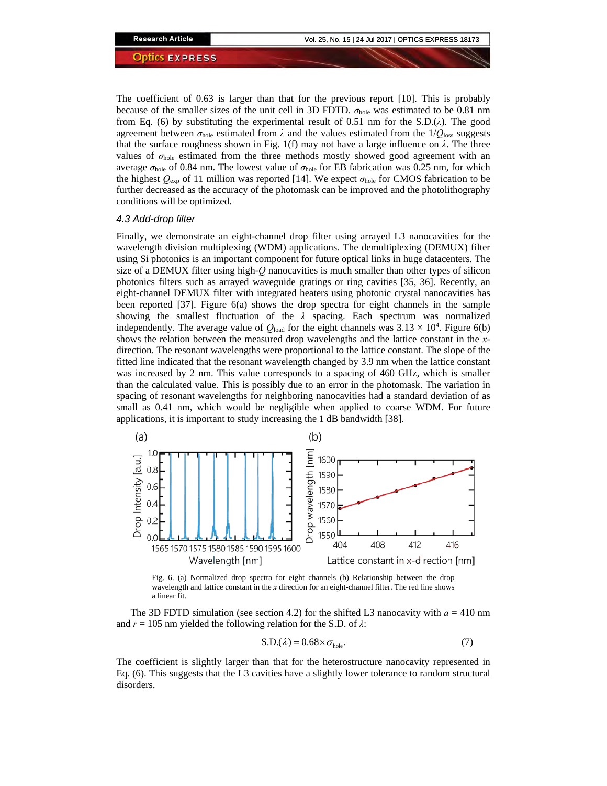The coefficient of 0.63 is larger than that for the previous report [10]. This is probably because of the smaller sizes of the unit cell in 3D FDTD. *σ*hole was estimated to be 0.81 nm from Eq. (6) by substituting the experimental result of 0.51 nm for the S.D.(*λ*). The good agreement between  $\sigma_{\text{hole}}$  estimated from  $\lambda$  and the values estimated from the  $1/O_{\text{loss}}$  suggests that the surface roughness shown in Fig. 1(f) may not have a large influence on  $\lambda$ . The three values of *σ*hole estimated from the three methods mostly showed good agreement with an average  $σ_{hole}$  of 0.84 nm. The lowest value of  $σ_{hole}$  for EB fabrication was 0.25 nm, for which the highest  $Q_{\text{exp}}$  of 11 million was reported [14]. We expect  $\sigma_{\text{hole}}$  for CMOS fabrication to be further decreased as the accuracy of the photomask can be improved and the photolithography conditions will be optimized.

#### *4.3 Add-drop filter*

Finally, we demonstrate an eight-channel drop filter using arrayed L3 nanocavities for the wavelength division multiplexing (WDM) applications. The demultiplexing (DEMUX) filter using Si photonics is an important component for future optical links in huge datacenters. The size of a DEMUX filter using high-*Q* nanocavities is much smaller than other types of silicon photonics filters such as arrayed waveguide gratings or ring cavities [35, 36]. Recently, an eight-channel DEMUX filter with integrated heaters using photonic crystal nanocavities has been reported [37]. Figure 6(a) shows the drop spectra for eight channels in the sample showing the smallest fluctuation of the *λ* spacing. Each spectrum was normalized independently. The average value of  $Q_{load}$  for the eight channels was  $3.13 \times 10^4$ . Figure 6(b) shows the relation between the measured drop wavelengths and the lattice constant in the *x*direction. The resonant wavelengths were proportional to the lattice constant. The slope of the fitted line indicated that the resonant wavelength changed by 3.9 nm when the lattice constant was increased by 2 nm. This value corresponds to a spacing of 460 GHz, which is smaller than the calculated value. This is possibly due to an error in the photomask. The variation in spacing of resonant wavelengths for neighboring nanocavities had a standard deviation of as small as 0.41 nm, which would be negligible when applied to coarse WDM. For future applications, it is important to study increasing the 1 dB bandwidth [38].



Fig. 6. (a) Normalized drop spectra for eight channels (b) Relationship between the drop wavelength and lattice constant in the *x* direction for an eight-channel filter. The red line shows a linear fit.

The 3D FDTD simulation (see section 4.2) for the shifted L3 nanocavity with  $a = 410$  nm and *r* = 105 nm yielded the following relation for the S.D. of *λ*:

$$
S.D.(\lambda) = 0.68 \times \sigma_{\text{hole}}.\tag{7}
$$

The coefficient is slightly larger than that for the heterostructure nanocavity represented in Eq. (6). This suggests that the L3 cavities have a slightly lower tolerance to random structural disorders.